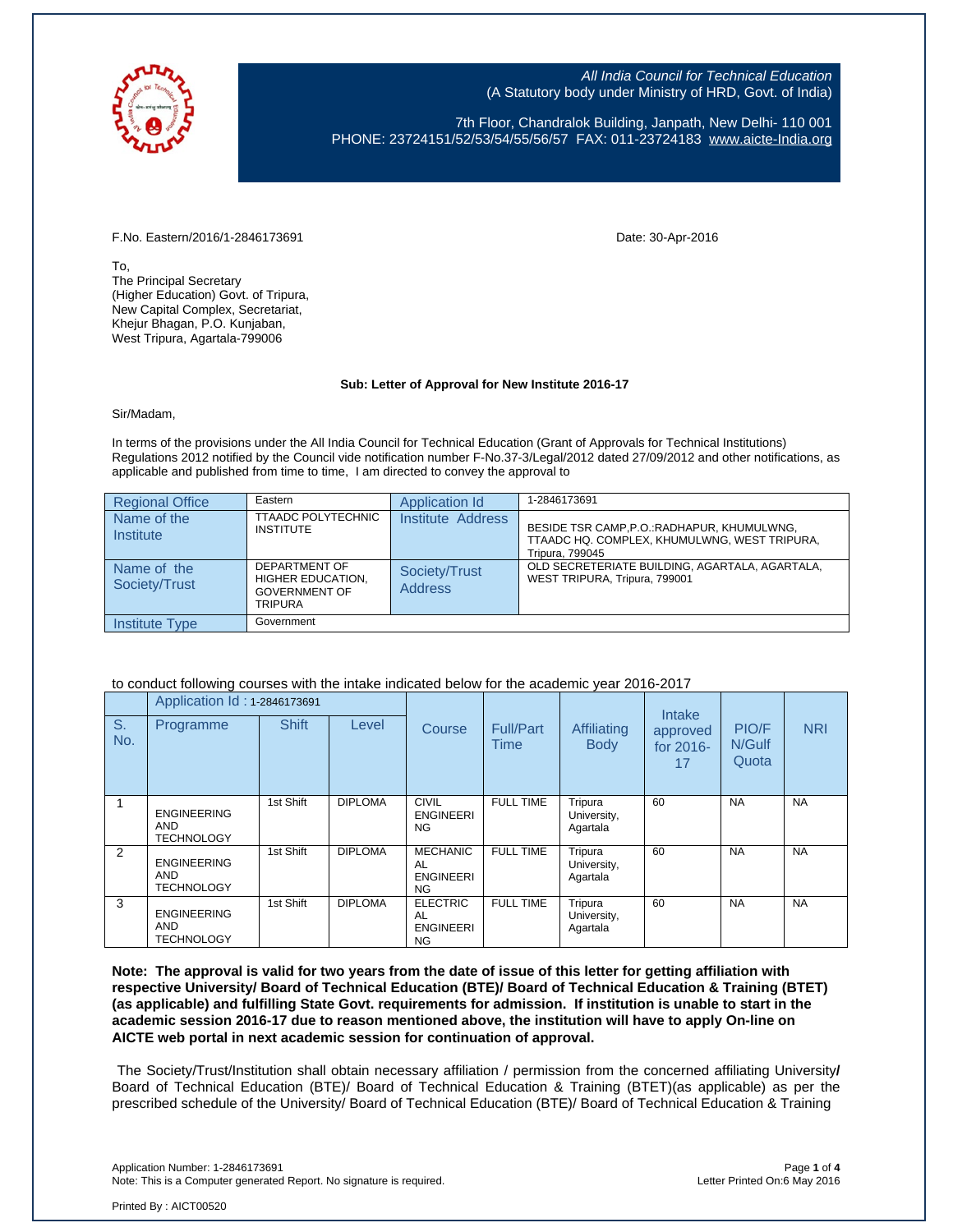

All India Council for Technical Education (A Statutory body under Ministry of HRD, Govt. of India)

7th Floor, Chandralok Building, Janpath, New Delhi- 110 001 PHONE: 23724151/52/53/54/55/56/57 FAX: 011-23724183 [www.aicte-India.org](http://www.aicte-india.org/)

## F.No. Eastern/2016/1-2846173691 Date: 30-Apr-2016

To, The Principal Secretary (Higher Education) Govt. of Tripura, New Capital Complex, Secretariat, Khejur Bhagan, P.O. Kunjaban, West Tripura, Agartala-799006

## **Sub: Letter of Approval for New Institute 2016-17**

Sir/Madam,

In terms of the provisions under the All India Council for Technical Education (Grant of Approvals for Technical Institutions) Regulations 2012 notified by the Council vide notification number F-No.37-3/Legal/2012 dated 27/09/2012 and other notifications, as applicable and published from time to time, I am directed to convey the approval to

| <b>Regional Office</b>       | Eastern                                                                      | Application Id           | 1-2846173691                                                                                                   |
|------------------------------|------------------------------------------------------------------------------|--------------------------|----------------------------------------------------------------------------------------------------------------|
| Name of the<br>Institute     | <b>TTAADC POLYTECHNIC</b><br><b>INSTITUTE</b>                                | Institute Address        | BESIDE TSR CAMP, P.O.: RADHAPUR, KHUMULWNG,<br>TTAADC HQ. COMPLEX, KHUMULWNG, WEST TRIPURA,<br>Tripura, 799045 |
| Name of the<br>Society/Trust | DEPARTMENT OF<br>HIGHER EDUCATION.<br><b>GOVERNMENT OF</b><br><b>TRIPURA</b> | Society/Trust<br>Address | OLD SECRETERIATE BUILDING, AGARTALA, AGARTALA,<br>WEST TRIPURA, Tripura, 799001                                |
| Institute Type               | Government                                                                   |                          |                                                                                                                |

## to conduct following courses with the intake indicated below for the academic year 2016-2017

|           | Application Id: 1-2846173691                          |              |                |                                                        |                          |                                    | Intake                      |                          |            |
|-----------|-------------------------------------------------------|--------------|----------------|--------------------------------------------------------|--------------------------|------------------------------------|-----------------------------|--------------------------|------------|
| S.<br>No. | Programme                                             | <b>Shift</b> | Level          | <b>Course</b>                                          | <b>Full/Part</b><br>Time | <b>Affiliating</b><br><b>Body</b>  | approved<br>for 2016-<br>17 | PIO/F<br>N/Gulf<br>Quota | <b>NRI</b> |
|           | <b>ENGINEERING</b><br><b>AND</b><br><b>TECHNOLOGY</b> | 1st Shift    | <b>DIPLOMA</b> | CIVIL<br><b>ENGINEERI</b><br><b>NG</b>                 | <b>FULL TIME</b>         | Tripura<br>University,<br>Agartala | 60                          | <b>NA</b>                | <b>NA</b>  |
| 2         | <b>ENGINEERING</b><br><b>AND</b><br><b>TECHNOLOGY</b> | 1st Shift    | <b>DIPLOMA</b> | <b>MECHANIC</b><br>AL<br><b>ENGINEERI</b><br>NG.       | <b>FULL TIME</b>         | Tripura<br>University,<br>Agartala | 60                          | <b>NA</b>                | <b>NA</b>  |
| 3         | <b>ENGINEERING</b><br><b>AND</b><br><b>TECHNOLOGY</b> | 1st Shift    | <b>DIPLOMA</b> | <b>ELECTRIC</b><br>AL<br><b>ENGINEERI</b><br><b>NG</b> | <b>FULL TIME</b>         | Tripura<br>University,<br>Agartala | 60                          | <b>NA</b>                | <b>NA</b>  |

**Note: The approval is valid for two years from the date of issue of this letter for getting affiliation with respective University/ Board of Technical Education (BTE)/ Board of Technical Education & Training (BTET) (as applicable) and fulfilling State Govt. requirements for admission. If institution is unable to start in the academic session 2016-17 due to reason mentioned above, the institution will have to apply On-line on AICTE web portal in next academic session for continuation of approval.**

The Society/Trust/Institution shall obtain necessary affiliation / permission from the concerned affiliating University**/** Board of Technical Education (BTE)/ Board of Technical Education & Training (BTET)(as applicable) as per the prescribed schedule of the University/ Board of Technical Education (BTE)/ Board of Technical Education & Training

Application Number: 1-2846173691 Page **1** of **4** Note: This is a Computer generated Report. No signature is required.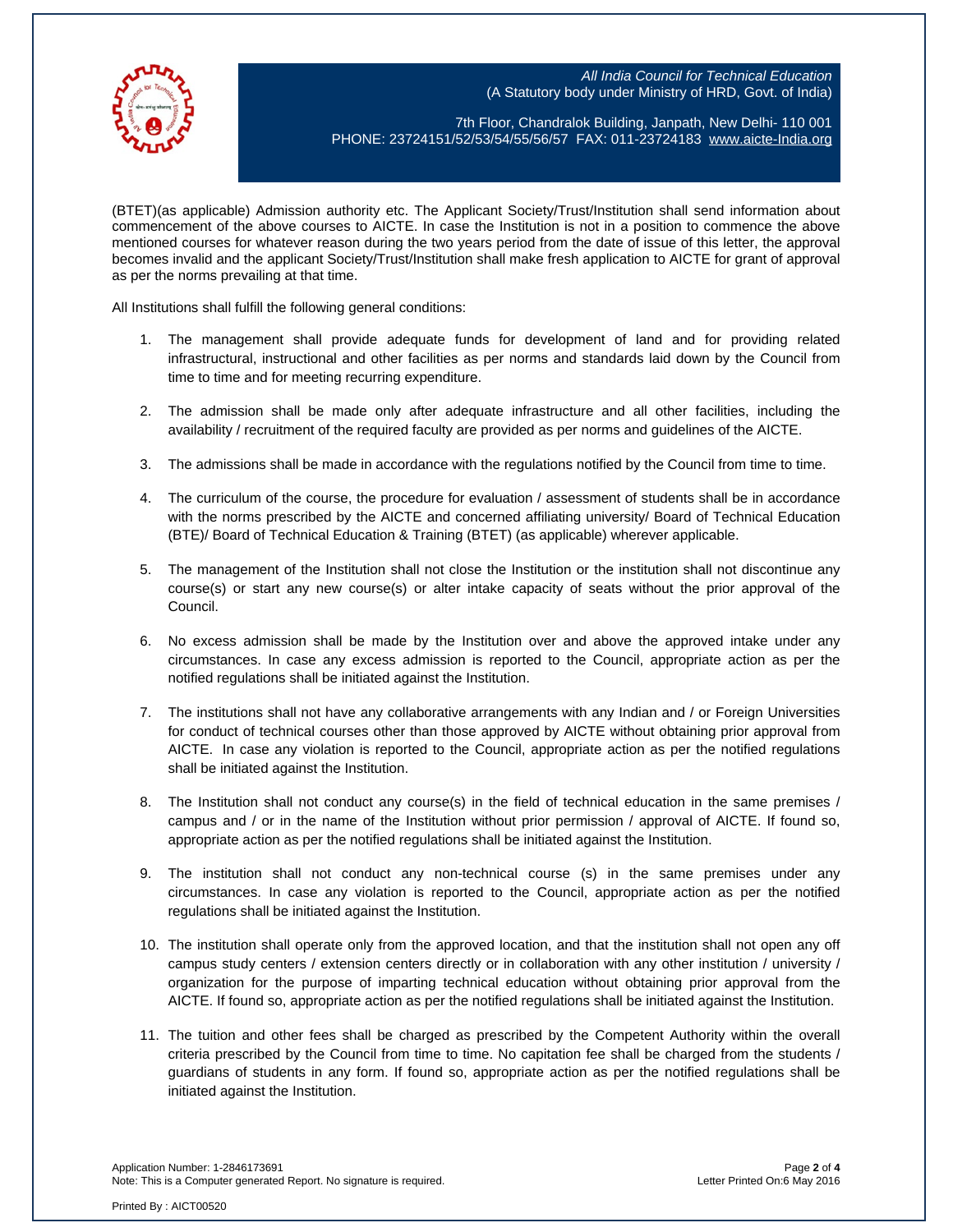All India Council for Technical Education (A Statutory body under Ministry of HRD, Govt. of India)



7th Floor, Chandralok Building, Janpath, New Delhi- 110 001 PHONE: 23724151/52/53/54/55/56/57 FAX: 011-23724183 [www.aicte-India.org](http://www.aicte-india.org/)

(BTET)(as applicable) Admission authority etc. The Applicant Society/Trust/Institution shall send information about commencement of the above courses to AICTE. In case the Institution is not in a position to commence the above mentioned courses for whatever reason during the two years period from the date of issue of this letter, the approval becomes invalid and the applicant Society/Trust/Institution shall make fresh application to AICTE for grant of approval as per the norms prevailing at that time.

All Institutions shall fulfill the following general conditions:

- 1. The management shall provide adequate funds for development of land and for providing related infrastructural, instructional and other facilities as per norms and standards laid down by the Council from time to time and for meeting recurring expenditure.
- 2. The admission shall be made only after adequate infrastructure and all other facilities, including the availability / recruitment of the required faculty are provided as per norms and guidelines of the AICTE.
- 3. The admissions shall be made in accordance with the regulations notified by the Council from time to time.
- 4. The curriculum of the course, the procedure for evaluation / assessment of students shall be in accordance with the norms prescribed by the AICTE and concerned affiliating university/ Board of Technical Education (BTE)/ Board of Technical Education & Training (BTET) (as applicable) wherever applicable.
- 5. The management of the Institution shall not close the Institution or the institution shall not discontinue any course(s) or start any new course(s) or alter intake capacity of seats without the prior approval of the Council.
- 6. No excess admission shall be made by the Institution over and above the approved intake under any circumstances. In case any excess admission is reported to the Council, appropriate action as per the notified regulations shall be initiated against the Institution.
- 7. The institutions shall not have any collaborative arrangements with any Indian and / or Foreign Universities for conduct of technical courses other than those approved by AICTE without obtaining prior approval from AICTE. In case any violation is reported to the Council, appropriate action as per the notified regulations shall be initiated against the Institution.
- 8. The Institution shall not conduct any course(s) in the field of technical education in the same premises / campus and / or in the name of the Institution without prior permission / approval of AICTE. If found so, appropriate action as per the notified regulations shall be initiated against the Institution.
- 9. The institution shall not conduct any non-technical course (s) in the same premises under any circumstances. In case any violation is reported to the Council, appropriate action as per the notified regulations shall be initiated against the Institution.
- 10. The institution shall operate only from the approved location, and that the institution shall not open any off campus study centers / extension centers directly or in collaboration with any other institution / university / organization for the purpose of imparting technical education without obtaining prior approval from the AICTE. If found so, appropriate action as per the notified regulations shall be initiated against the Institution.
- 11. The tuition and other fees shall be charged as prescribed by the Competent Authority within the overall criteria prescribed by the Council from time to time. No capitation fee shall be charged from the students / guardians of students in any form. If found so, appropriate action as per the notified regulations shall be initiated against the Institution.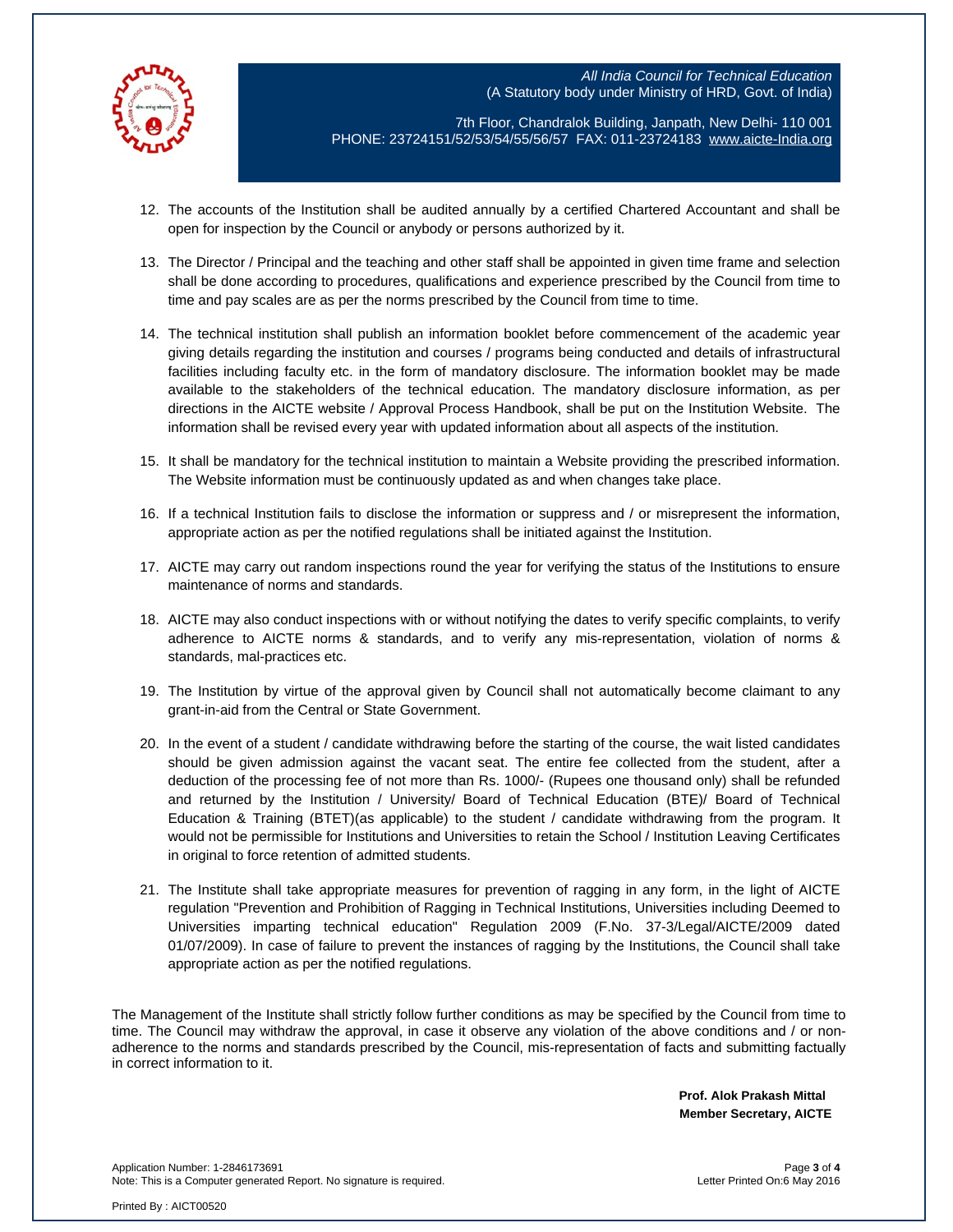



7th Floor, Chandralok Building, Janpath, New Delhi- 110 001 PHONE: 23724151/52/53/54/55/56/57 FAX: 011-23724183 [www.aicte-India.org](http://www.aicte-india.org/)

- 12. The accounts of the Institution shall be audited annually by a certified Chartered Accountant and shall be open for inspection by the Council or anybody or persons authorized by it.
- 13. The Director / Principal and the teaching and other staff shall be appointed in given time frame and selection shall be done according to procedures, qualifications and experience prescribed by the Council from time to time and pay scales are as per the norms prescribed by the Council from time to time.
- 14. The technical institution shall publish an information booklet before commencement of the academic year giving details regarding the institution and courses / programs being conducted and details of infrastructural facilities including faculty etc. in the form of mandatory disclosure. The information booklet may be made available to the stakeholders of the technical education. The mandatory disclosure information, as per directions in the AICTE website / Approval Process Handbook, shall be put on the Institution Website. The information shall be revised every year with updated information about all aspects of the institution.
- 15. It shall be mandatory for the technical institution to maintain a Website providing the prescribed information. The Website information must be continuously updated as and when changes take place.
- 16. If a technical Institution fails to disclose the information or suppress and / or misrepresent the information, appropriate action as per the notified regulations shall be initiated against the Institution.
- 17. AICTE may carry out random inspections round the year for verifying the status of the Institutions to ensure maintenance of norms and standards.
- 18. AICTE may also conduct inspections with or without notifying the dates to verify specific complaints, to verify adherence to AICTE norms & standards, and to verify any mis-representation, violation of norms & standards, mal-practices etc.
- 19. The Institution by virtue of the approval given by Council shall not automatically become claimant to any grant-in-aid from the Central or State Government.
- 20. In the event of a student / candidate withdrawing before the starting of the course, the wait listed candidates should be given admission against the vacant seat. The entire fee collected from the student, after a deduction of the processing fee of not more than Rs. 1000/- (Rupees one thousand only) shall be refunded and returned by the Institution / University/ Board of Technical Education (BTE)/ Board of Technical Education & Training (BTET)(as applicable) to the student / candidate withdrawing from the program. It would not be permissible for Institutions and Universities to retain the School / Institution Leaving Certificates in original to force retention of admitted students.
- 21. The Institute shall take appropriate measures for prevention of ragging in any form, in the light of AICTE regulation "Prevention and Prohibition of Ragging in Technical Institutions, Universities including Deemed to Universities imparting technical education" Regulation 2009 (F.No. 37-3/Legal/AICTE/2009 dated 01/07/2009). In case of failure to prevent the instances of ragging by the Institutions, the Council shall take appropriate action as per the notified regulations.

The Management of the Institute shall strictly follow further conditions as may be specified by the Council from time to time. The Council may withdraw the approval, in case it observe any violation of the above conditions and / or nonadherence to the norms and standards prescribed by the Council, mis-representation of facts and submitting factually in correct information to it.

> **Prof. Alok Prakash Mittal Member Secretary, AICTE**

Application Number: 1-2846173691 Page **3** of **4** Note: This is a Computer generated Report. No signature is required.